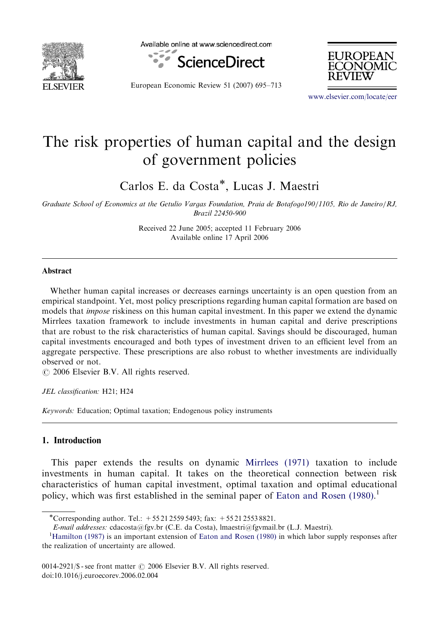

Available online at www.sciencedirect.com





European Economic Review 51 (2007) 695–713

<www.elsevier.com/locate/eer>

## The risk properties of human capital and the design of government policies

Carlos E. da Costa<sup>\*</sup>, Lucas J. Maestri

Graduate School of Economics at the Getulio Vargas Foundation, Praia de Botafogo190/1105, Rio de Janeiro/RJ, Brazil 22450-900

> Received 22 June 2005; accepted 11 February 2006 Available online 17 April 2006

## Abstract

Whether human capital increases or decreases earnings uncertainty is an open question from an empirical standpoint. Yet, most policy prescriptions regarding human capital formation are based on models that *impose* riskiness on this human capital investment. In this paper we extend the dynamic Mirrlees taxation framework to include investments in human capital and derive prescriptions that are robust to the risk characteristics of human capital. Savings should be discouraged, human capital investments encouraged and both types of investment driven to an efficient level from an aggregate perspective. These prescriptions are also robust to whether investments are individually observed or not.

 $O$  2006 Elsevier B.V. All rights reserved.

JEL classification: H21; H24

Keywords: Education; Optimal taxation; Endogenous policy instruments

## 1. Introduction

This paper extends the results on dynamic [Mirrlees \(1971\)](#page--1-0) taxation to include investments in human capital. It takes on the theoretical connection between risk characteristics of human capital investment, optimal taxation and optimal educational policy, which was first established in the seminal paper of [Eaton and Rosen \(1980\).](#page--1-0) 1

0014-2921/\$ - see front matter  $\odot$  2006 Elsevier B.V. All rights reserved. doi:10.1016/j.euroecorev.2006.02.004

<sup>\*</sup>Corresponding author. Tel.: +55 21 2559 5493; fax: +55 21 2553 8821.

E-mail addresses: cdacosta@fgv.br (C.E. da Costa), lmaestri@fgvmail.br (L.J. Maestri).

<sup>&</sup>lt;sup>1</sup>[Hamilton \(1987\)](#page--1-0) is an important extension of [Eaton and Rosen \(1980\)](#page--1-0) in which labor supply responses after the realization of uncertainty are allowed.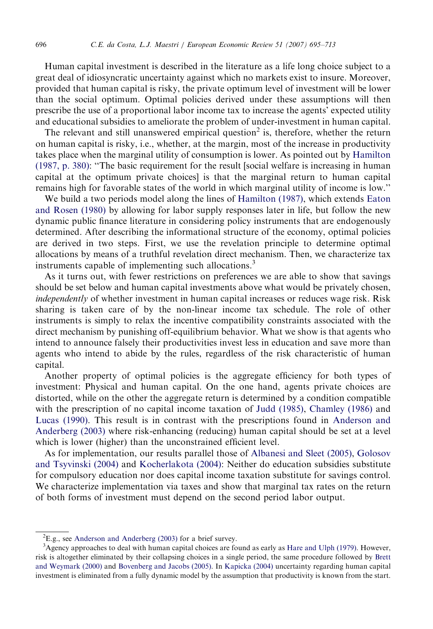Human capital investment is described in the literature as a life long choice subject to a great deal of idiosyncratic uncertainty against which no markets exist to insure. Moreover, provided that human capital is risky, the private optimum level of investment will be lower than the social optimum. Optimal policies derived under these assumptions will then prescribe the use of a proportional labor income tax to increase the agents' expected utility and educational subsidies to ameliorate the problem of under-investment in human capital.

The relevant and still unanswered empirical question<sup>2</sup> is, therefore, whether the return on human capital is risky, i.e., whether, at the margin, most of the increase in productivity takes place when the marginal utility of consumption is lower. As pointed out by [Hamilton](#page--1-0) [\(1987, p. 380\)](#page--1-0): ''The basic requirement for the result [social welfare is increasing in human capital at the optimum private choices] is that the marginal return to human capital remains high for favorable states of the world in which marginal utility of income is low.''

We build a two periods model along the lines of [Hamilton \(1987\),](#page--1-0) which extends [Eaton](#page--1-0) [and Rosen \(1980\)](#page--1-0) by allowing for labor supply responses later in life, but follow the new dynamic public finance literature in considering policy instruments that are endogenously determined. After describing the informational structure of the economy, optimal policies are derived in two steps. First, we use the revelation principle to determine optimal allocations by means of a truthful revelation direct mechanism. Then, we characterize tax instruments capable of implementing such allocations. $3$ 

As it turns out, with fewer restrictions on preferences we are able to show that savings should be set below and human capital investments above what would be privately chosen, independently of whether investment in human capital increases or reduces wage risk. Risk sharing is taken care of by the non-linear income tax schedule. The role of other instruments is simply to relax the incentive compatibility constraints associated with the direct mechanism by punishing off-equilibrium behavior. What we show is that agents who intend to announce falsely their productivities invest less in education and save more than agents who intend to abide by the rules, regardless of the risk characteristic of human capital.

Another property of optimal policies is the aggregate efficiency for both types of investment: Physical and human capital. On the one hand, agents private choices are distorted, while on the other the aggregate return is determined by a condition compatible with the prescription of no capital income taxation of [Judd \(1985\)](#page--1-0), [Chamley \(1986\)](#page--1-0) and [Lucas \(1990\).](#page--1-0) This result is in contrast with the prescriptions found in [Anderson and](#page--1-0) [Anderberg \(2003\)](#page--1-0) where risk-enhancing (reducing) human capital should be set at a level which is lower (higher) than the unconstrained efficient level.

As for implementation, our results parallel those of [Albanesi and Sleet \(2005\)](#page--1-0), [Golosov](#page--1-0) [and Tsyvinski \(2004\)](#page--1-0) and [Kocherlakota \(2004\)](#page--1-0): Neither do education subsidies substitute for compulsory education nor does capital income taxation substitute for savings control. We characterize implementation via taxes and show that marginal tax rates on the return of both forms of investment must depend on the second period labor output.

 ${}^{2}E.g.,$  see [Anderson and Anderberg \(2003\)](#page--1-0) for a brief survey.

<sup>&</sup>lt;sup>3</sup>Agency approaches to deal with human capital choices are found as early as [Hare and Ulph \(1979\)](#page--1-0). However, risk is altogether eliminated by their collapsing choices in a single period, the same procedure followed by [Brett](#page--1-0) [and Weymark \(2000\)](#page--1-0) and [Bovenberg and Jacobs \(2005\)](#page--1-0). In [Kapicka \(2004\)](#page--1-0) uncertainty regarding human capital investment is eliminated from a fully dynamic model by the assumption that productivity is known from the start.